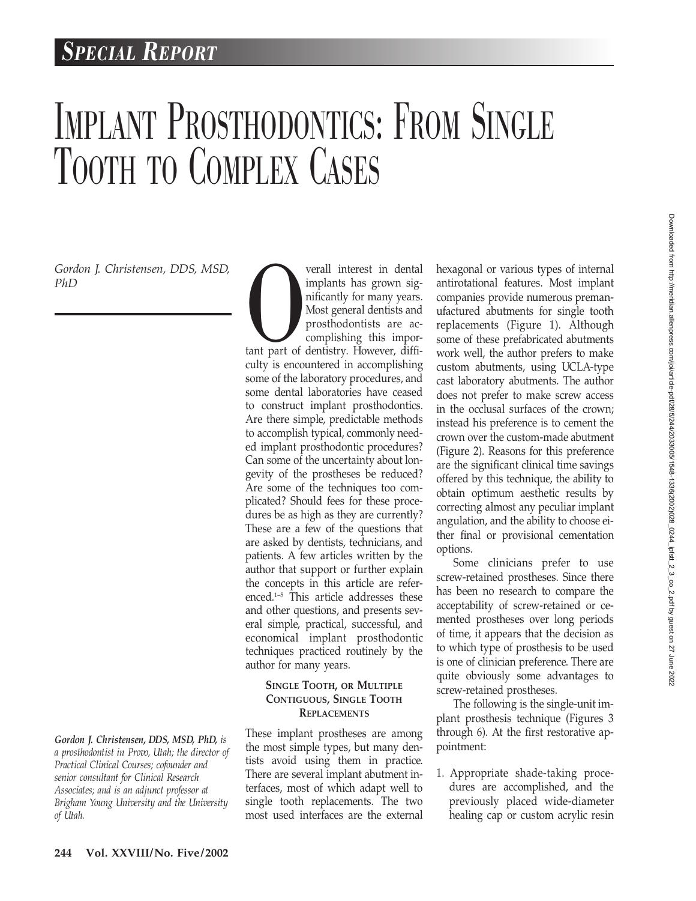# *SPECIAL REPORT*

# IMPLANT PROSTHODONTICS: FROM SINGLE TOOTH TO COMPLEX CASES

*Gordon J. Christensen, DDS, MSD, PhD*

*Gordon J. Christensen, DDS, MSD, PhD, is a prosthodontist in Provo, Utah; the director of Practical Clinical Courses; cofounder and senior consultant for Clinical Research Associates; and is an adjunct professor at Brigham Young University and the University of Utah.*

Verall interest in dental<br>
implants has grown sig-<br>
inficantly for many years.<br>
Most general dentists and<br>
prosthodontists are ac-<br>
complishing this impor-<br>
tant part of dentistry. However, diffi-<br>
culty is encountered in implants has grown significantly for many years. Most general dentists and prosthodontists are accomplishing this important part of dentistry. However, difficulty is encountered in accomplishing some of the laboratory procedures, and some dental laboratories have ceased to construct implant prosthodontics. Are there simple, predictable methods to accomplish typical, commonly needed implant prosthodontic procedures? Can some of the uncertainty about longevity of the prostheses be reduced? Are some of the techniques too complicated? Should fees for these procedures be as high as they are currently? These are a few of the questions that are asked by dentists, technicians, and patients. A few articles written by the author that support or further explain the concepts in this article are referenced.1–5 This article addresses these and other questions, and presents several simple, practical, successful, and economical implant prosthodontic techniques practiced routinely by the author for many years.

### **SINGLE TOOTH, OR MULTIPLE CONTIGUOUS, SINGLE TOOTH REPLACEMENTS**

These implant prostheses are among the most simple types, but many dentists avoid using them in practice. There are several implant abutment interfaces, most of which adapt well to single tooth replacements. The two most used interfaces are the external hexagonal or various types of internal antirotational features. Most implant companies provide numerous premanufactured abutments for single tooth replacements (Figure 1). Although some of these prefabricated abutments work well, the author prefers to make custom abutments, using UCLA-type cast laboratory abutments. The author does not prefer to make screw access in the occlusal surfaces of the crown; instead his preference is to cement the crown over the custom-made abutment (Figure 2). Reasons for this preference are the significant clinical time savings offered by this technique, the ability to obtain optimum aesthetic results by correcting almost any peculiar implant angulation, and the ability to choose either final or provisional cementation options.

Some clinicians prefer to use screw-retained prostheses. Since there has been no research to compare the acceptability of screw-retained or cemented prostheses over long periods of time, it appears that the decision as to which type of prosthesis to be used is one of clinician preference. There are quite obviously some advantages to screw-retained prostheses.

The following is the single-unit implant prosthesis technique (Figures 3 through 6). At the first restorative appointment:

1. Appropriate shade-taking procedures are accomplished, and the previously placed wide-diameter healing cap or custom acrylic resin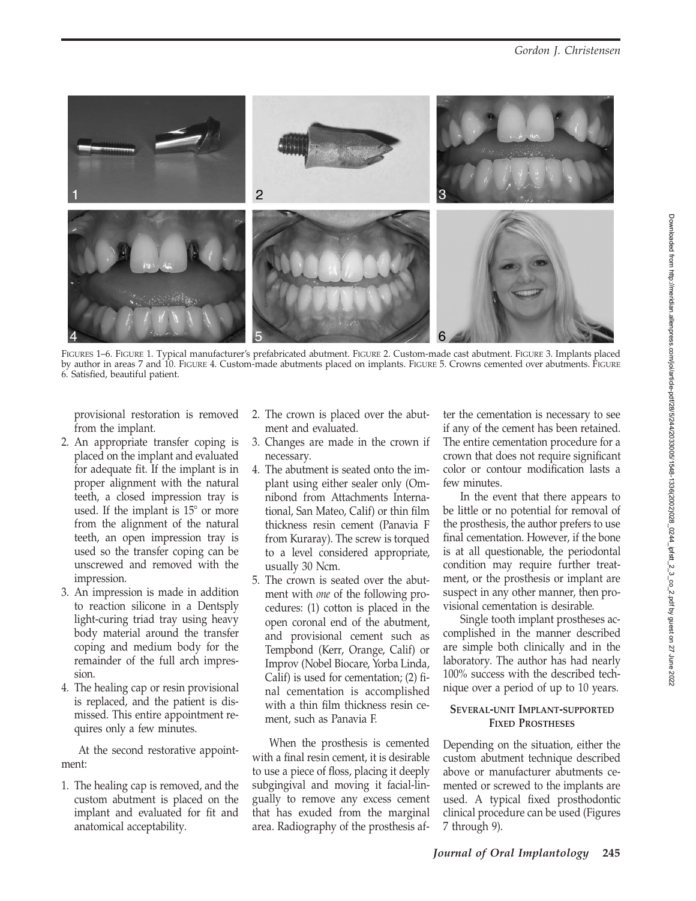

FIGURES 1–6. FIGURE 1. Typical manufacturer's prefabricated abutment. FIGURE 2. Custom-made cast abutment. FIGURE 3. Implants placed by author in areas 7 and 10. FIGURE 4. Custom-made abutments placed on implants. FIGURE 5. Crowns cemented over abutments. FIGURE 6. Satisfied, beautiful patient.

provisional restoration is removed from the implant.

- 2. An appropriate transfer coping is placed on the implant and evaluated for adequate fit. If the implant is in proper alignment with the natural teeth, a closed impression tray is used. If the implant is  $15^{\circ}$  or more from the alignment of the natural teeth, an open impression tray is used so the transfer coping can be unscrewed and removed with the impression.
- 3. An impression is made in addition to reaction silicone in a Dentsply light-curing triad tray using heavy body material around the transfer coping and medium body for the remainder of the full arch impression.
- 4. The healing cap or resin provisional is replaced, and the patient is dismissed. This entire appointment requires only a few minutes.

At the second restorative appointment:

1. The healing cap is removed, and the custom abutment is placed on the implant and evaluated for fit and anatomical acceptability.

- 2. The crown is placed over the abutment and evaluated.
- 3. Changes are made in the crown if necessary.
- 4. The abutment is seated onto the implant using either sealer only (Omnibond from Attachments International, San Mateo, Calif) or thin film thickness resin cement (Panavia F from Kuraray). The screw is torqued to a level considered appropriate, usually 30 Ncm.
- 5. The crown is seated over the abutment with *one* of the following procedures: (1) cotton is placed in the open coronal end of the abutment, and provisional cement such as Tempbond (Kerr, Orange, Calif) or Improv (Nobel Biocare, Yorba Linda, Calif) is used for cementation; (2) final cementation is accomplished with a thin film thickness resin cement, such as Panavia F.

When the prosthesis is cemented with a final resin cement, it is desirable to use a piece of floss, placing it deeply subgingival and moving it facial-lingually to remove any excess cement that has exuded from the marginal area. Radiography of the prosthesis after the cementation is necessary to see if any of the cement has been retained. The entire cementation procedure for a crown that does not require significant color or contour modification lasts a few minutes.

In the event that there appears to be little or no potential for removal of the prosthesis, the author prefers to use final cementation. However, if the bone is at all questionable, the periodontal condition may require further treatment, or the prosthesis or implant are suspect in any other manner, then provisional cementation is desirable.

Single tooth implant prostheses accomplished in the manner described are simple both clinically and in the laboratory. The author has had nearly 100% success with the described technique over a period of up to 10 years.

### **SEVERAL-UNIT IMPLANT-SUPPORTED FIXED PROSTHESES**

Depending on the situation, either the custom abutment technique described above or manufacturer abutments cemented or screwed to the implants are used. A typical fixed prosthodontic clinical procedure can be used (Figures 7 through 9).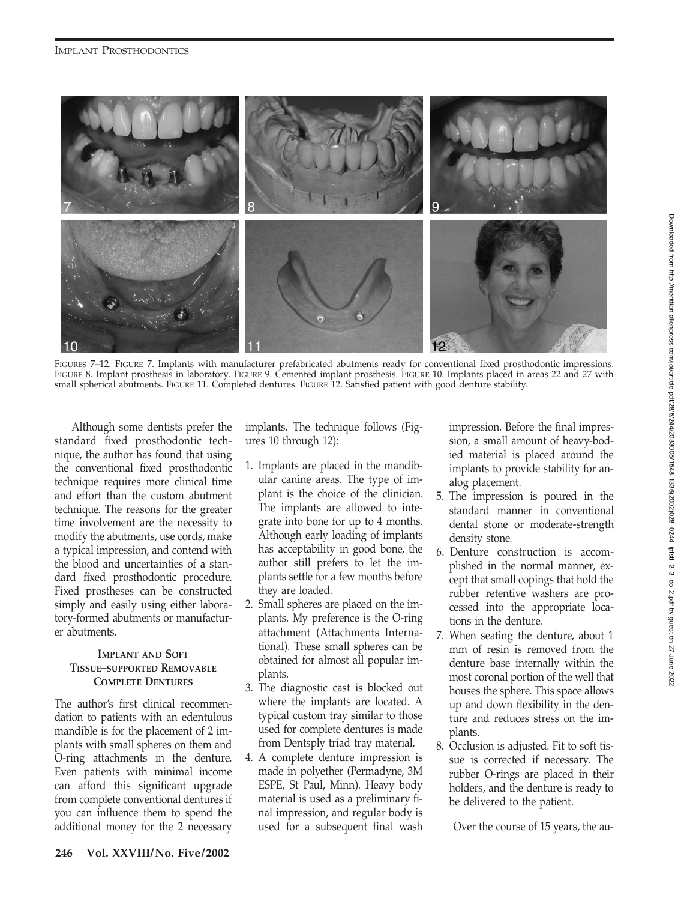#### IMPLANT PROSTHODONTICS



FIGURES 7–12. FIGURE 7. Implants with manufacturer prefabricated abutments ready for conventional fixed prosthodontic impressions. FIGURE 8. Implant prosthesis in laboratory. FIGURE 9. Cemented implant prosthesis. FIGURE 10. Implants placed in areas 22 and 27 with small spherical abutments. FIGURE 11. Completed dentures. FIGURE 12. Satisfied patient with good denture stability.

Although some dentists prefer the standard fixed prosthodontic technique, the author has found that using the conventional fixed prosthodontic technique requires more clinical time and effort than the custom abutment technique. The reasons for the greater time involvement are the necessity to modify the abutments, use cords, make a typical impression, and contend with the blood and uncertainties of a standard fixed prosthodontic procedure. Fixed prostheses can be constructed simply and easily using either laboratory-formed abutments or manufacturer abutments.

## **IMPLANT AND SOFT TISSUE–SUPPORTED REMOVABLE COMPLETE DENTURES**

The author's first clinical recommendation to patients with an edentulous mandible is for the placement of 2 implants with small spheres on them and O-ring attachments in the denture. Even patients with minimal income can afford this significant upgrade from complete conventional dentures if you can influence them to spend the additional money for the 2 necessary implants. The technique follows (Figures 10 through 12):

- 1. Implants are placed in the mandibular canine areas. The type of implant is the choice of the clinician. The implants are allowed to integrate into bone for up to 4 months. Although early loading of implants has acceptability in good bone, the author still prefers to let the implants settle for a few months before they are loaded.
- 2. Small spheres are placed on the implants. My preference is the O-ring attachment (Attachments International). These small spheres can be obtained for almost all popular implants.
- 3. The diagnostic cast is blocked out where the implants are located. A typical custom tray similar to those used for complete dentures is made from Dentsply triad tray material.
- 4. A complete denture impression is made in polyether (Permadyne, 3M ESPE, St Paul, Minn). Heavy body material is used as a preliminary final impression, and regular body is used for a subsequent final wash

impression. Before the final impression, a small amount of heavy-bodied material is placed around the implants to provide stability for analog placement.

- 5. The impression is poured in the standard manner in conventional dental stone or moderate-strength density stone.
- 6. Denture construction is accomplished in the normal manner, except that small copings that hold the rubber retentive washers are processed into the appropriate locations in the denture.
- 7. When seating the denture, about 1 mm of resin is removed from the denture base internally within the most coronal portion of the well that houses the sphere. This space allows up and down flexibility in the denture and reduces stress on the implants.
- 8. Occlusion is adjusted. Fit to soft tissue is corrected if necessary. The rubber O-rings are placed in their holders, and the denture is ready to be delivered to the patient.

Over the course of 15 years, the au-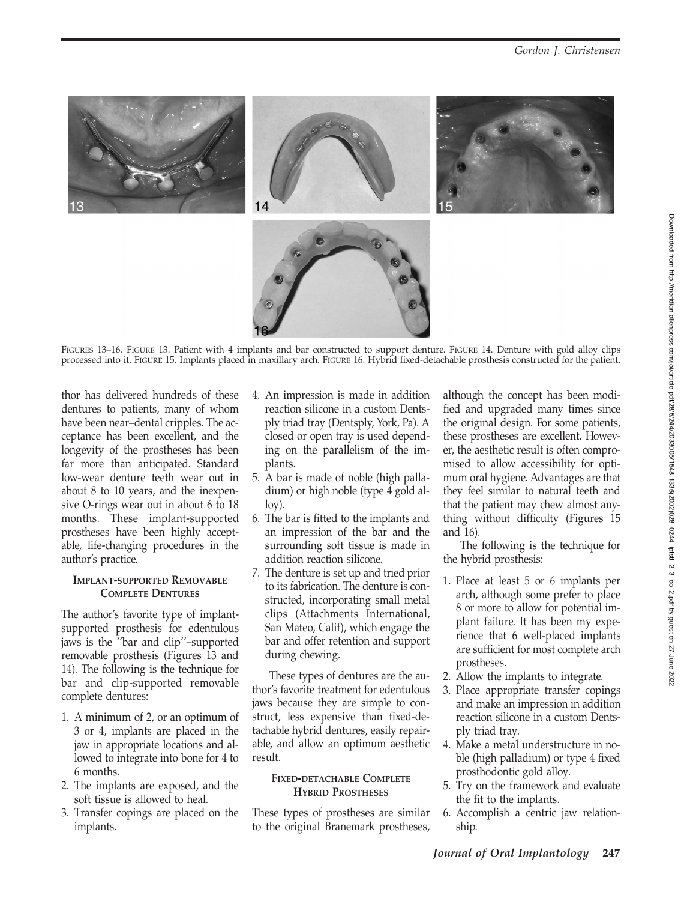

FIGURES 13–16. FIGURE 13. Patient with 4 implants and bar constructed to support denture. FIGURE 14. Denture with gold alloy clips processed into it. FIGURE 15. Implants placed in maxillary arch. FIGURE 16. Hybrid fixed-detachable prosthesis constructed for the patient.

thor has delivered hundreds of these dentures to patients, many of whom have been near–dental cripples. The acceptance has been excellent, and the longevity of the prostheses has been far more than anticipated. Standard low-wear denture teeth wear out in about 8 to 10 years, and the inexpensive O-rings wear out in about 6 to 18 months. These implant-supported prostheses have been highly acceptable, life-changing procedures in the author's practice.

# **IMPLANT-SUPPORTED REMOVABLE COMPLETE DENTURES**

The author's favorite type of implantsupported prosthesis for edentulous jaws is the ''bar and clip''–supported removable prosthesis (Figures 13 and 14). The following is the technique for bar and clip-supported removable complete dentures:

- 1. A minimum of 2, or an optimum of 3 or 4, implants are placed in the jaw in appropriate locations and allowed to integrate into bone for 4 to 6 months.
- 2. The implants are exposed, and the soft tissue is allowed to heal.
- 3. Transfer copings are placed on the implants.
- 4. An impression is made in addition reaction silicone in a custom Dentsply triad tray (Dentsply, York, Pa). A closed or open tray is used depending on the parallelism of the implants.
- 5. A bar is made of noble (high palladium) or high noble (type 4 gold alloy).
- 6. The bar is fitted to the implants and an impression of the bar and the surrounding soft tissue is made in addition reaction silicone.
- 7. The denture is set up and tried prior to its fabrication. The denture is constructed, incorporating small metal clips (Attachments International, San Mateo, Calif), which engage the bar and offer retention and support during chewing.

These types of dentures are the author's favorite treatment for edentulous jaws because they are simple to construct, less expensive than fixed-detachable hybrid dentures, easily repairable, and allow an optimum aesthetic result.

### **FIXED-DETACHABLE COMPLETE HYBRID PROSTHESES**

These types of prostheses are similar to the original Branemark prostheses,

although the concept has been modified and upgraded many times since the original design. For some patients, these prostheses are excellent. However, the aesthetic result is often compromised to allow accessibility for optimum oral hygiene. Advantages are that they feel similar to natural teeth and that the patient may chew almost anything without difficulty (Figures 15 and 16).

The following is the technique for the hybrid prosthesis:

- 1. Place at least 5 or 6 implants per arch, although some prefer to place 8 or more to allow for potential implant failure. It has been my experience that 6 well-placed implants are sufficient for most complete arch prostheses.
- 2. Allow the implants to integrate.
- 3. Place appropriate transfer copings and make an impression in addition reaction silicone in a custom Dentsply triad tray.
- 4. Make a metal understructure in noble (high palladium) or type 4 fixed prosthodontic gold alloy.
- 5. Try on the framework and evaluate the fit to the implants.
- 6. Accomplish a centric jaw relationship.